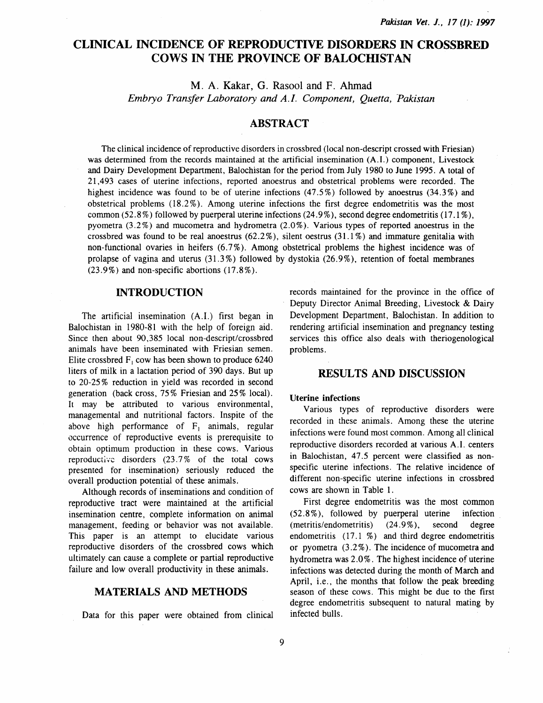# CLINICAL INCIDENCE OF REPRODUCTIVE DISORDERS IN CROSSBRED COWS IN THE PROVINCE OF BALOCHISTAN

M. A. Kakar, G. Rasool and F. Ahmad *Embryo Transfer Laboratory and A./. Component, Quetta, Pakistan* 

## ABSTRACT

The clinical incidence of reproductive disorders in crossbred (local non-descript crossed with Friesian) was determined from the records maintained at the artificial insemination (A.I.) component, Livestock and Dairy Development Department, Balochistan for the period from July 1980 to June 1995. A total of 21 ,493 cases of uterine infections, reported anoestrus and obstetrical problems were recorded. The highest incidence was found to be of uterine infections  $(47.5\%)$  followed by anoestrus  $(34.3\%)$  and obstetrical problems (18.2% ). Among uterine infections the first degree endometritis was the most common (52.8%) followed by puerperal uterine infections (24.9%), second degree endometritis (17.1%), pyometra  $(3.2\%)$  and mucometra and hydrometra  $(2.0\%)$ . Various types of reported anoestrus in the crossbred was found to be real anoestrus  $(62.2\%)$ , silent oestrus  $(31.1\%)$  and immature genitalia with non-functional ovaries in heifers (6.7%). Among obstetrical problems the highest incidence was of prolapse of vagina and uterus  $(31.3\%)$  followed by dystokia  $(26.9\%)$ , retention of foetal membranes  $(23.9\%)$  and non-specific abortions  $(17.8\%)$ .

## INTRODUCTION

The artificial insemination (A.I.) first began in Balochistan in 1980-81 with the help of foreign aid. Since then about 90,385 local non-descript/crossbred animals have been inseminated with Friesian semen. Elite crossbred  $F_1$  cow has been shown to produce 6240 liters of milk in a lactation period of 390 days. But up to 20-25% reduction in yield was recorded in second generation (back cross, 75% Friesian and 25% local). It may be attributed to various environmental, managemental and nutritional factors. Inspite of the above high performance of  $F_1$  animals, regular occurrence of reproductive events is prerequisite to obtain optimum production in these cows. Various reproductive disorders  $(23.7\% \text{ of the total} \text{cows})$ presented for insemination) seriously reduced the overall production potential of these animals.

Although records of inseminations and condition of reproductive tract were maintained at the artificial insemination centre, complete information on animal management, feeding or behavior was not available. This paper is an attempt to elucidate various reproductive disorders of the crossbred cows which ultimately can cause a complete or partial reproductive failure and low overall productivity in these animals.

## MATERIALS AND METHODS

Data for this paper were obtained from clinical

records maintained for the province in the office of Deputy Director Animal Breeding, Livestock & Dairy Development Department, Balochistan. In addition to rendering artificial insemination and pregnancy testing services this office also deals with theriogenological problems.

### RESULTS AND DISCUSSION

#### Uterine infections

Various types of reproductive disorders were recorded in these animals. Among these the uterine infections were found most common. Among all clinical reproductive disorders recorded at various A.I. centers in Balochistan, 47.5 percent were classified as nonspecific uterine infections. The relative incidence of different non-specific uterine infections in crossbred cows are shown in Table 1.

First degree endometritis was the most common (52.8% ), followed by puerperal uterine infection (metritis/endometritis) (24.9%), second degree endometritis  $(17.1 \%)$  and third degree endometritis or pyometra (3 .2%). The incidence of mucometra and hydrometra was 2.0%. The highest incidence of uterine infections was detected during the month of March and April, i.e., the months that follow the peak breeding season of these cows. This might be due to the first degree endometritis subsequent to natural mating by infected bulls.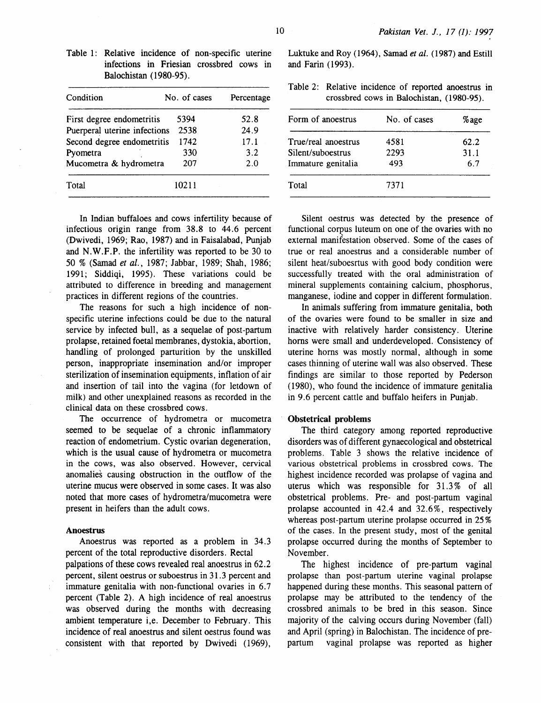| Condition                    | No. of cases | Percentage |
|------------------------------|--------------|------------|
| First degree endometritis    | 5394         | 52.8       |
| Puerperal uterine infections | 2538         | 24.9       |
| Second degree endometritis   | 1742         | 17.1       |
| Pyometra                     | 330          | 3.2        |
| Mucometra & hydrometra       | 207          | 2.0        |
| Total                        | 10211        |            |

In Indian buffaloes and cows infertility because of infectious origin range from 38.8 to 44.6 percent (Dwivedi, I969; Rao, 1987) and in Faisalabad, Punjab and N.W.F.P. the infertility was reported to be 30 to 50 % (Samad *et al.,* 1987; Jabbar, 1989; Shah, 1986; 199I; Siddiqi, 1995). These variations could be attributed to difference in breeding and management practices in different regions of the countries.

The reasons for such a high incidence of nonspecific uterine infections could be due to the natural service by infected bull, as a sequelae of post-partum prolapse, retained foetal membranes, dystokia, abortion, handling of prolonged parturition by the unskilled person, inappropriate insemination and/or improper sterilization of insemination equipments, inflation of air and insertion of tail into the vagina (for letdown of milk) and other unexplained reasons as recorded in the clinical data on these crossbred cows.

The occurrence of hydrometra or mucometra seemed to be sequelae of a chronic inflammatory reaction of endometrium. Cystic ovarian degeneration, which is the usual cause of hydrometra or mucometra in the cows, was also observed. However, cervical anomalies causing obstruction in the outflow of the uterine mucus were observed in some cases. It was also noted that more cases of hydrometra/mucometra were present in heifers than the adult cows.

#### Anoestrus

Anoestrus was reported as a problem in 34.3 percent of the total reproductive disorders. Rectal palpations of these cows revealed real anoestrus in 62.2 percent, silent oestrus or suboestrus in 3I.3 percent and immature genitalia with non-functional ovaries in 6.7 percent (Table 2). A high incidence of real anoestrus was observed during the months with decreasing ambient temperature i,e. December to February. This incidence of real anoestrus and silent oestrus found was consistent with that reported by Dwivedi (1969),

Luktuke and Roy ( I964), Samad *et al.* ( I987) and Estill and Farin (1993).

Table 2: Relative incidence of reported anoestrus in crossbred cows in Balochistan, ( 1980-95).

| No. of cases | %age |
|--------------|------|
| 4581         | 62.2 |
| 2293         | 31.1 |
| 493          | 6.7  |
| 7371         |      |
|              |      |

Silent oestrus was detected by the presence of functional corpus luteum on one of the ovaries with no external manifestation observed. Some of the cases of true or real anoestrus and a considerable number of silent heat/suboesrtus with good body condition were successfully treated with the oral administration of mineral supplements containing calcium, phosphorus, manganese, iodine and copper in different formulation.

In animals suffering from immature genitalia, both of the ovaries were found to be smaller in size and inactive with relatively harder consistency. Uterine horns were small and underdeveloped. Consistency of uterine horns was mostly normal, although in some cases thinning of uterine wall was also observed. These findings are similar to those reported by Pederson (1980), who found the incidence of immature genitalia in 9.6 percent cattle and buffalo heifers in Punjab.

#### Obstetrical problems

The third category among reported reproductive disorders was of different gynaecological and obstetrical problems. Table 3 shows the relative incidence of various obstetrical problems in crossbred cows. The highest incidence recorded was prolapse of vagina and uterus which was responsible for 31.3% of all obstetrical problems. Pre- and post-partum vaginal prolapse accounted in 42.4 and 32.6%, respectively whereas post-partum uterine prolapse occurred in 25% of the cases. In the present study, most of the genital prolapse occurred during the months of September to November.

The highest incidence of pre-partum vaginal prolapse than post-partum uterine vaginal prolapse happened during these months. This seasonal pattern of prolapse may be attributed to the tendency of the crossbred animals to be bred in this season. Since majority of the calving occurs during November (fall) and April (spring) in Balochistan. The incidence of prepartum vaginal prolapse was reported as higher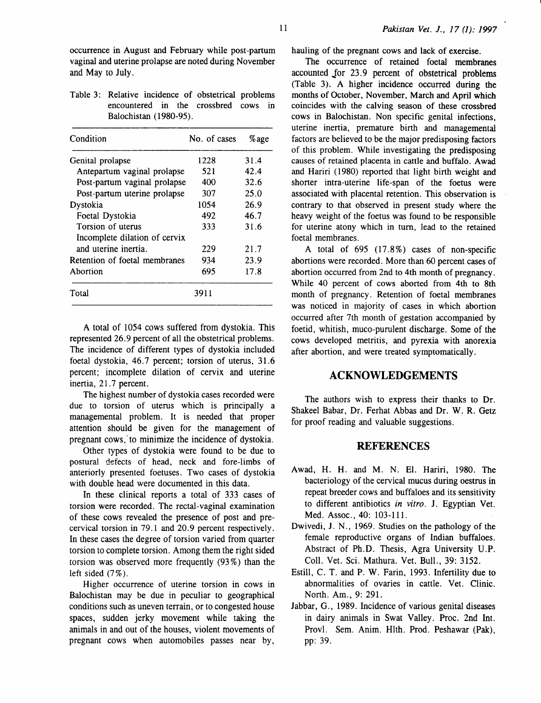Table 3: Relative incidence of obstetrical problems encountered in the crossbred cows in Balochistan (1980-95).

| Condition                     | No. of cases | %age |
|-------------------------------|--------------|------|
| Genital prolapse              | 1228         | 31.4 |
| Antepartum vaginal prolapse   | 521          | 42.4 |
| Post-partum vaginal prolapse  | 400          | 32.6 |
| Post-partum uterine prolapse  | 307          | 25.0 |
| Dystokia                      | 1054         | 26.9 |
| Foetal Dystokia               | 492          | 46.7 |
| Torsion of uterus             | 333          | 31.6 |
| Incomplete dilation of cervix |              |      |
| and uterine inertia.          | 229          | 21.7 |
| Retention of foetal membranes | 934          | 23.9 |
| Abortion                      | 695          | 17.8 |
| Total                         | 3911         |      |

A total of 1054 cows suffered from dystokia. This represented 26.9 percent of all the obstetrical problems. The incidence of different types of dystokia included foetal dystokia, 46.7 percent; torsion of uterus, 31.6 percent; incomplete dilation of cervix and uterine inertia, 21.7 percent.

The highest number of dystokia cases recorded were due to torsion of uterus which is principally a managemental problem. It is needed that proper attention should be given for the management of pregnant cows,' to minimize the incidence of dystokia.

Other types of dystokia were found to be due to postural defects of head, neck and fore-limbs of anteriorly presented foetuses. Two cases of dystokia with double head were documented in this data.

In these clinical reports a total of 333 cases of torsion were recorded. The rectal-vaginal examination of these cows revealed the presence of post and precervical torsion. in 79.1 and 20.9 percent respectively. In these cases the degree of torsion varied from quarter torsion to complete torsion. Among them the right sided torsion was observed more frequently (93%) than the left sided (7%).

Higher occurrence of uterine torsion in cows in Balochistan may be due in peculiar to geographical conditions such as uneven terrain, or to congested house spaces, sudden jerky movement while taking the animals in and out of the houses, violent movements of pregnant cows when automobiles passes near by,

The occurrence of retained foetal membranes accounted for 23.9 percent of obstetrical problems (Table 3). A higher incidence occurred during the months of October, November, March and April which coincides with the calving season of these crossbred cows in Balochistan. Non specific genital infections, uterine inertia, premature birth and managemental factors are believed to be the major predisposing factors of this problem. While investigating the predisposing causes of retained placenta in cattle and buffalo. Awad and Hariri ( 1980) reported that light birth weight and shorter intra-uterine life-span of the foetus were associated with placental retention. This observation is contrary to that observed in present study where the heavy weight of the foetus was found to be responsible for uterine atony which in tum, lead to the retained foetal membranes.

A total of  $695$   $(17.8\%)$  cases of non-specific abortions were recorded. More than 60 percent cases of abortion occurred from 2nd to 4th month of pregnancy. While 40 percent of cows aborted from 4th to 8th month of pregnancy. Retention of foetal membranes was noticed in majority of cases in which abortion occurred after 7th month of gestation accompanied by foetid, whitish, muco-purulent discharge. Some of the cows developed metritis, and pyrexia with anorexia after abortion, and were treated symptomatically.

### **ACKNOWLEDGEMENTS**

The authors wish to express their thanks to Dr. Shakeel Babar, Dr. Ferhat Abbas and Dr. W. R. Getz for proof reading and valuable suggestions.

### **REFERENCES**

- Awad, H. H. and M. N. El. Hariri, 1980. The bacteriology of the cervical mucus during oestrus in repeat breeder cows and buffaloes and its sensitivity to different antibiotics *in vitro.* J. Egyptian Vet. Med. Assoc., 40: 103-111.
- Dwivedi, J. N., 1969. Studies on the pathology of the female reproductive organs of Indian buffaloes. Abstract of Ph.D. Thesis, Agra University U.P. Coli. Vet. Sci. Mathura. Vet. Bull., 39: 3152.
- Estill, C. T. and P. W. Farin, 1993. Infertility due to abnormalities of ovaries in cattle. Vet. Clinic. North. Am., 9: 291.
- Jabbar, G., 1989. Incidence of various genital diseases in dairy animals in Swat Valley. Proc. 2nd Int. Provl. Sem. Anim. Hlth. Prod. Peshawar (Pak), pp: 39.